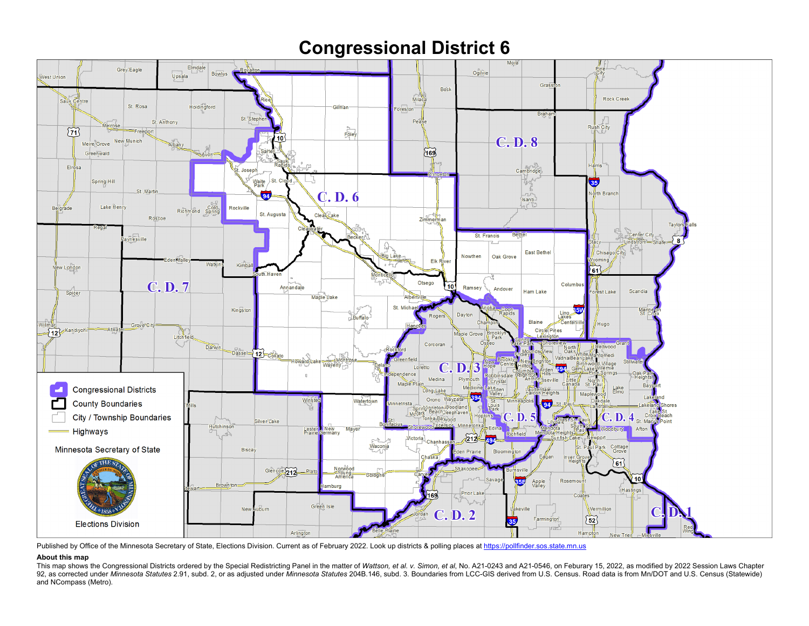## **Congressional District 6**



Published by Office of the Minnesota Secretary of State, Elections Division. Current as of February 2022. Look up districts & polling places a[t https://pollfinder.sos.state.mn.us](https://pollfinder.sos.state.mn.us/)

## **About this map**

This map shows the Congressional Districts ordered by the Special Redistricting Panel in the matter of Wattson, et al. v. Simon, et al. No. A21-0243 and A21-0546, on Feburary 15, 2022, as modified by 2022 Session Laws Chap 92, as corrected under Minnesota Statutes 2.91, subd. 2, or as adjusted under Minnesota Statutes 204B.146, subd. 3. Boundaries from LCC-GIS derived from U.S. Census. Road data is from Mn/DOT and U.S. Census (Statewide) and NCompass (Metro).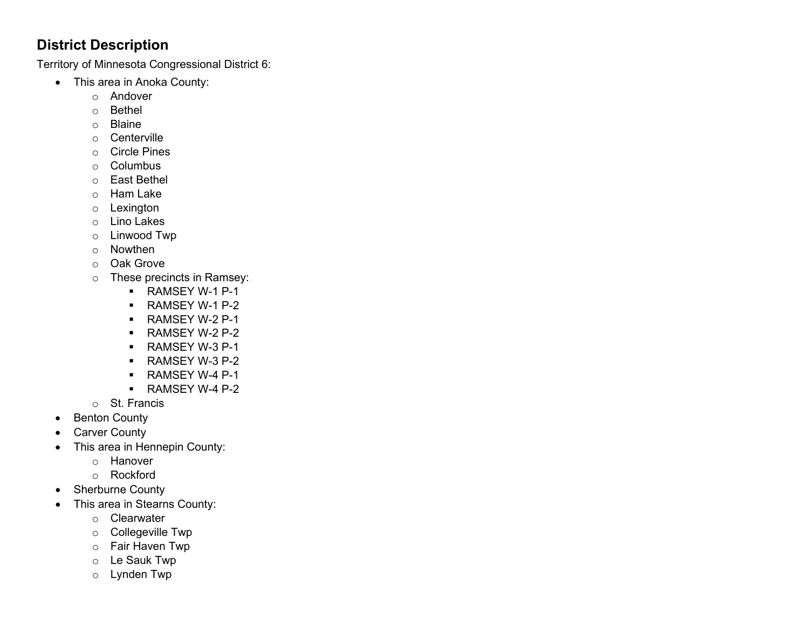## **District Description**

Territory of Minnesota Congressional District 6:

- This area in Anoka County:
	- o Andover
	- o Bethel
	- o Blaine
	- o Centerville
	- o Circle Pines
	- o Columbus
	- o East Bethel
	- o Ham Lake
	- o Lexington
	- o Lino Lakes
	- o Linwood Twp
	- o Nowthen
	- o Oak Grove
	- o These precincts in Ramsey:
		- RAMSEY W-1 P-1
		- **RAMSEY W-1 P-2**
		- **RAMSEY W-2 P-1**
		- **RAMSEY W-2 P-2**
		- **RAMSEY W-3 P-1**
		- **RAMSEY W-3 P-2**
		- **RAMSEY W-4 P-1**
		- **RAMSEY W-4 P-2**
	- o St. Francis
- Benton County
- Carver County
- This area in Hennepin County:
	- o Hanover
	- o Rockford
- Sherburne County
- This area in Stearns County:
	- o Clearwater
	- o Collegeville Twp
	- o Fair Haven Twp
	- o Le Sauk Twp
	- o Lynden Twp